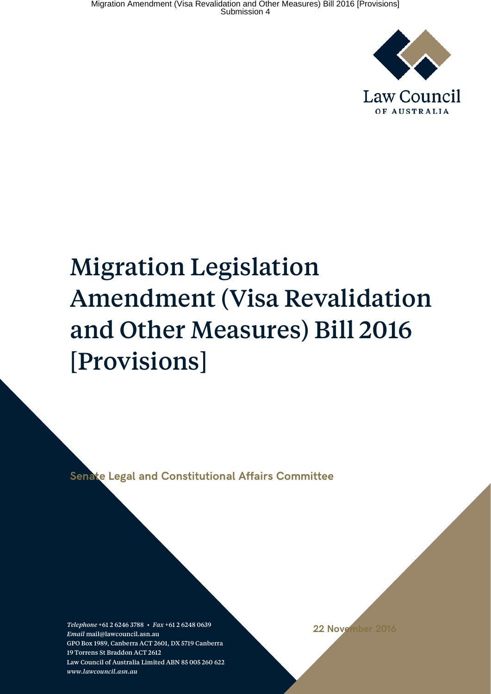

# Migration Legislation Amendment (Visa Revalidation and Other Measures) Bill 2016 [Provisions]

**Senate Legal and Constitutional Affairs Committee**

*Telephone* +61 2 6246 3788 • *Fax* +61 2 6248 0639 *Email* mail@lawcouncil.asn.au GPO Box 1989, Canberra ACT 2601, DX 5719 Canberra 19 Torrens St Braddon ACT 2612 Law Council of Australia Limited ABN 85 005 260 622 *www.lawcouncil.asn.au*

**22 November 2016**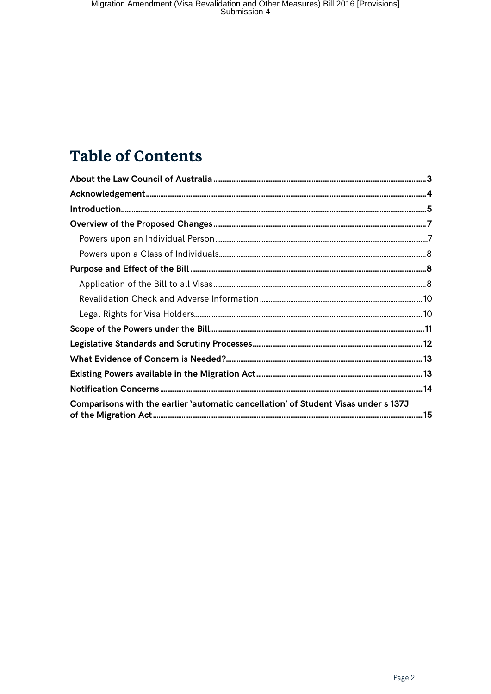# **Table of Contents**

| Comparisons with the earlier 'automatic cancellation' of Student Visas under s 137J |  |
|-------------------------------------------------------------------------------------|--|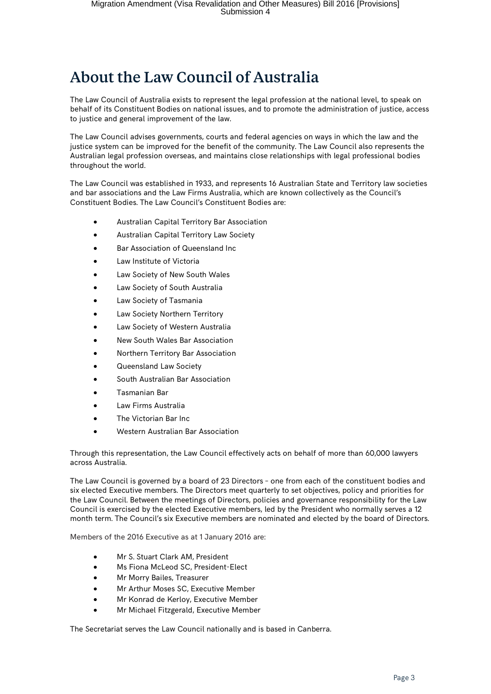# <span id="page-2-0"></span>About the Law Council of Australia

The Law Council of Australia exists to represent the legal profession at the national level, to speak on behalf of its Constituent Bodies on national issues, and to promote the administration of justice, access to justice and general improvement of the law.

The Law Council advises governments, courts and federal agencies on ways in which the law and the justice system can be improved for the benefit of the community. The Law Council also represents the Australian legal profession overseas, and maintains close relationships with legal professional bodies throughout the world.

The Law Council was established in 1933, and represents 16 Australian State and Territory law societies and bar associations and the Law Firms Australia, which are known collectively as the Council's Constituent Bodies. The Law Council's Constituent Bodies are:

- Australian Capital Territory Bar Association
- Australian Capital Territory Law Society
- Bar Association of Queensland Inc
- Law Institute of Victoria
- Law Society of New South Wales
- Law Society of South Australia
- Law Society of Tasmania
- Law Society Northern Territory
- Law Society of Western Australia
- New South Wales Bar Association
- Northern Territory Bar Association
- Queensland Law Society
- South Australian Bar Association
- Tasmanian Bar
- Law Firms Australia
- The Victorian Bar Inc
- Western Australian Bar Association

Through this representation, the Law Council effectively acts on behalf of more than 60,000 lawyers across Australia.

The Law Council is governed by a board of 23 Directors – one from each of the constituent bodies and six elected Executive members. The Directors meet quarterly to set objectives, policy and priorities for the Law Council. Between the meetings of Directors, policies and governance responsibility for the Law Council is exercised by the elected Executive members, led by the President who normally serves a 12 month term. The Council's six Executive members are nominated and elected by the board of Directors.

Members of the 2016 Executive as at 1 January 2016 are:

- Mr S. Stuart Clark AM, President
- Ms Fiona McLeod SC, President-Elect
- Mr Morry Bailes, Treasurer
- Mr Arthur Moses SC, Executive Member
- Mr Konrad de Kerloy, Executive Member
- Mr Michael Fitzgerald, Executive Member

The Secretariat serves the Law Council nationally and is based in Canberra.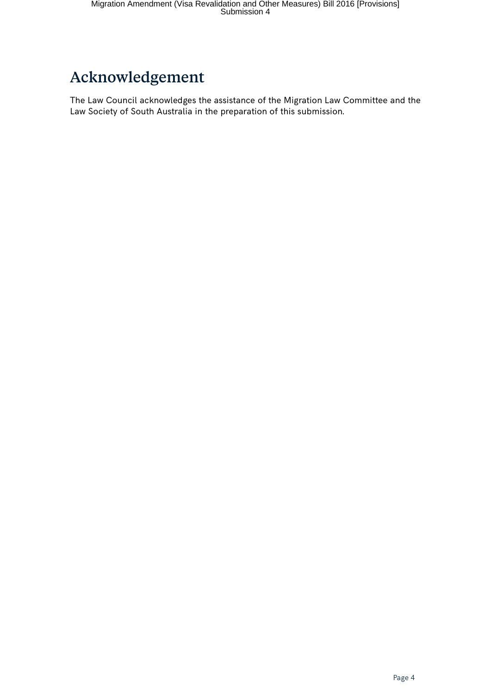# <span id="page-3-0"></span>Acknowledgement

The Law Council acknowledges the assistance of the Migration Law Committee and the Law Society of South Australia in the preparation of this submission.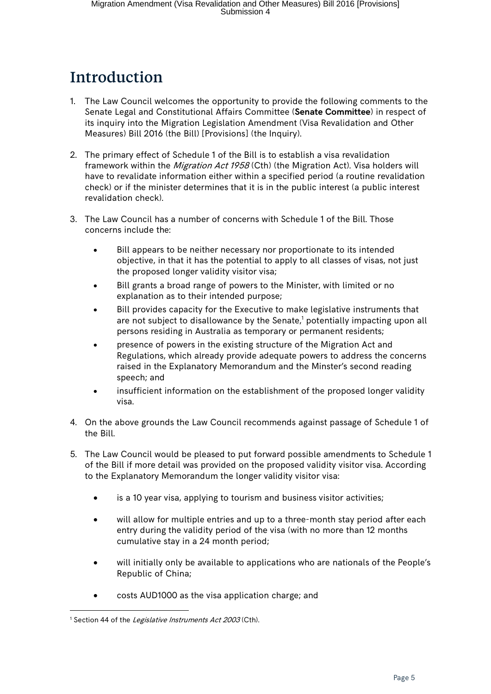# <span id="page-4-0"></span>Introduction

- 1. The Law Council welcomes the opportunity to provide the following comments to the Senate Legal and Constitutional Affairs Committee (**Senate Committee**) in respect of its inquiry into the Migration Legislation Amendment (Visa Revalidation and Other Measures) Bill 2016 (the Bill) [Provisions] (the Inquiry).
- 2. The primary effect of Schedule 1 of the Bill is to establish a visa revalidation framework within the *Migration Act 1958* (Cth) (the Migration Act). Visa holders will have to revalidate information either within a specified period (a routine revalidation check) or if the minister determines that it is in the public interest (a public interest revalidation check).
- 3. The Law Council has a number of concerns with Schedule 1 of the Bill. Those concerns include the:
	- Bill appears to be neither necessary nor proportionate to its intended objective, in that it has the potential to apply to all classes of visas, not just the proposed longer validity visitor visa;
	- Bill grants a broad range of powers to the Minister, with limited or no explanation as to their intended purpose;
	- Bill provides capacity for the Executive to make legislative instruments that are not subject to disallowance by the Senate, $<sup>1</sup>$  $<sup>1</sup>$  $<sup>1</sup>$  potentially impacting upon all</sup> persons residing in Australia as temporary or permanent residents;
	- presence of powers in the existing structure of the Migration Act and Regulations, which already provide adequate powers to address the concerns raised in the Explanatory Memorandum and the Minster's second reading speech; and
	- insufficient information on the establishment of the proposed longer validity visa.
- 4. On the above grounds the Law Council recommends against passage of Schedule 1 of the Bill.
- 5. The Law Council would be pleased to put forward possible amendments to Schedule 1 of the Bill if more detail was provided on the proposed validity visitor visa. According to the Explanatory Memorandum the longer validity visitor visa:
	- is a 10 year visa, applying to tourism and business visitor activities;
	- will allow for multiple entries and up to a three-month stay period after each entry during the validity period of the visa (with no more than 12 months cumulative stay in a 24 month period;
	- will initially only be available to applications who are nationals of the People's Republic of China;
	- costs AUD1000 as the visa application charge; and

<span id="page-4-1"></span><sup>&</sup>lt;sup>1</sup> Section 44 of the *Legislative Instruments Act 2003* (Cth).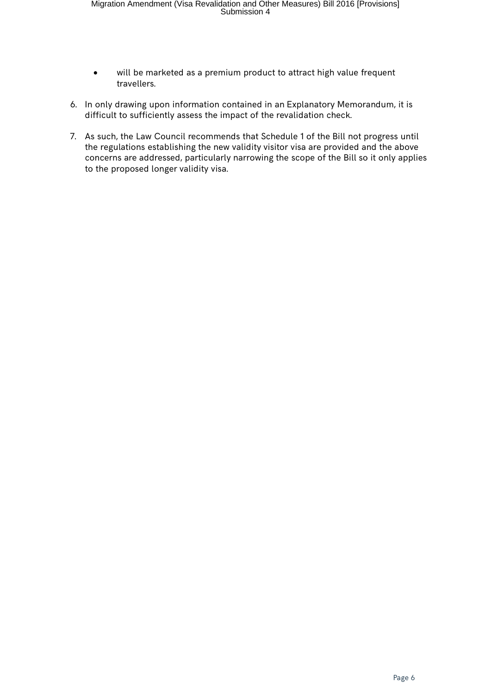- will be marketed as a premium product to attract high value frequent travellers.
- 6. In only drawing upon information contained in an Explanatory Memorandum, it is difficult to sufficiently assess the impact of the revalidation check.
- 7. As such, the Law Council recommends that Schedule 1 of the Bill not progress until the regulations establishing the new validity visitor visa are provided and the above concerns are addressed, particularly narrowing the scope of the Bill so it only applies to the proposed longer validity visa.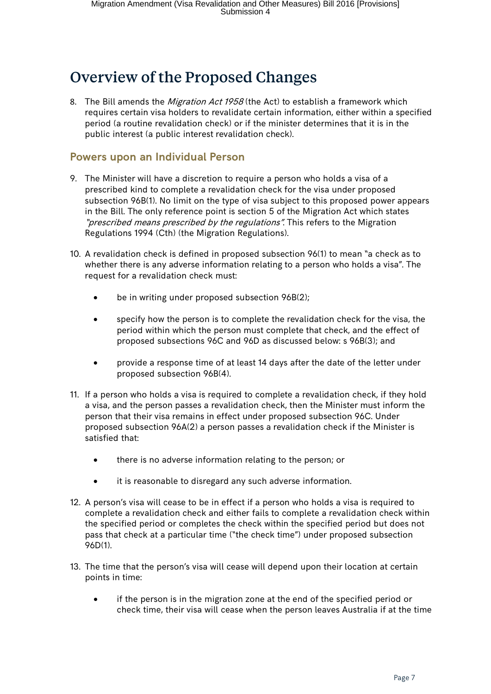# <span id="page-6-0"></span>Overview of the Proposed Changes

8. The Bill amends the *Migration Act 1958* (the Act) to establish a framework which requires certain visa holders to revalidate certain information, either within a specified period (a routine revalidation check) or if the minister determines that it is in the public interest (a public interest revalidation check).

#### <span id="page-6-1"></span>**Powers upon an Individual Person**

- 9. The Minister will have a discretion to require a person who holds a visa of a prescribed kind to complete a revalidation check for the visa under proposed subsection 96B(1). No limit on the type of visa subject to this proposed power appears in the Bill. The only reference point is section 5 of the Migration Act which states "prescribed means prescribed by the regulations". This refers to the Migration Regulations 1994 (Cth) (the Migration Regulations).
- 10. A revalidation check is defined in proposed subsection 96(1) to mean "a check as to whether there is any adverse information relating to a person who holds a visa". The request for a revalidation check must:
	- be in writing under proposed subsection 96B(2);
	- specify how the person is to complete the revalidation check for the visa, the period within which the person must complete that check, and the effect of proposed subsections 96C and 96D as discussed below: s 96B(3); and
	- provide a response time of at least 14 days after the date of the letter under proposed subsection 96B(4).
- 11. If a person who holds a visa is required to complete a revalidation check, if they hold a visa, and the person passes a revalidation check, then the Minister must inform the person that their visa remains in effect under proposed subsection 96C. Under proposed subsection 96A(2) a person passes a revalidation check if the Minister is satisfied that:
	- there is no adverse information relating to the person; or
	- it is reasonable to disregard any such adverse information.
- 12. A person's visa will cease to be in effect if a person who holds a visa is required to complete a revalidation check and either fails to complete a revalidation check within the specified period or completes the check within the specified period but does not pass that check at a particular time ("the check time") under proposed subsection 96D(1).
- 13. The time that the person's visa will cease will depend upon their location at certain points in time:
	- if the person is in the migration zone at the end of the specified period or check time, their visa will cease when the person leaves Australia if at the time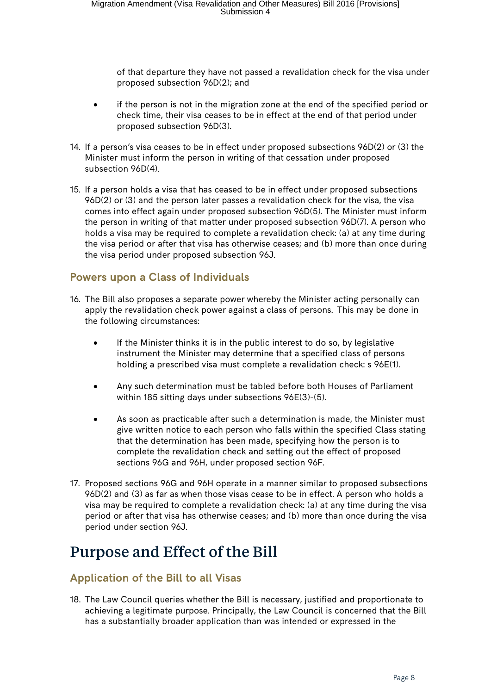of that departure they have not passed a revalidation check for the visa under proposed subsection 96D(2); and

- if the person is not in the migration zone at the end of the specified period or check time, their visa ceases to be in effect at the end of that period under proposed subsection 96D(3).
- 14. If a person's visa ceases to be in effect under proposed subsections 96D(2) or (3) the Minister must inform the person in writing of that cessation under proposed subsection 96D(4).
- 15. If a person holds a visa that has ceased to be in effect under proposed subsections 96D(2) or (3) and the person later passes a revalidation check for the visa, the visa comes into effect again under proposed subsection 96D(5). The Minister must inform the person in writing of that matter under proposed subsection 96D(7). A person who holds a visa may be required to complete a revalidation check: (a) at any time during the visa period or after that visa has otherwise ceases; and (b) more than once during the visa period under proposed subsection 96J.

#### <span id="page-7-0"></span>**Powers upon a Class of Individuals**

- 16. The Bill also proposes a separate power whereby the Minister acting personally can apply the revalidation check power against a class of persons. This may be done in the following circumstances:
	- If the Minister thinks it is in the public interest to do so, by legislative instrument the Minister may determine that a specified class of persons holding a prescribed visa must complete a revalidation check: s 96E(1).
	- Any such determination must be tabled before both Houses of Parliament within 185 sitting days under subsections 96E(3)-(5).
	- As soon as practicable after such a determination is made, the Minister must give written notice to each person who falls within the specified Class stating that the determination has been made, specifying how the person is to complete the revalidation check and setting out the effect of proposed sections 96G and 96H, under proposed section 96F.
- 17. Proposed sections 96G and 96H operate in a manner similar to proposed subsections 96D(2) and (3) as far as when those visas cease to be in effect. A person who holds a visa may be required to complete a revalidation check: (a) at any time during the visa period or after that visa has otherwise ceases; and (b) more than once during the visa period under section 96J.

### <span id="page-7-1"></span>Purpose and Effect of the Bill

#### <span id="page-7-2"></span>**Application of the Bill to all Visas**

18. The Law Council queries whether the Bill is necessary, justified and proportionate to achieving a legitimate purpose. Principally, the Law Council is concerned that the Bill has a substantially broader application than was intended or expressed in the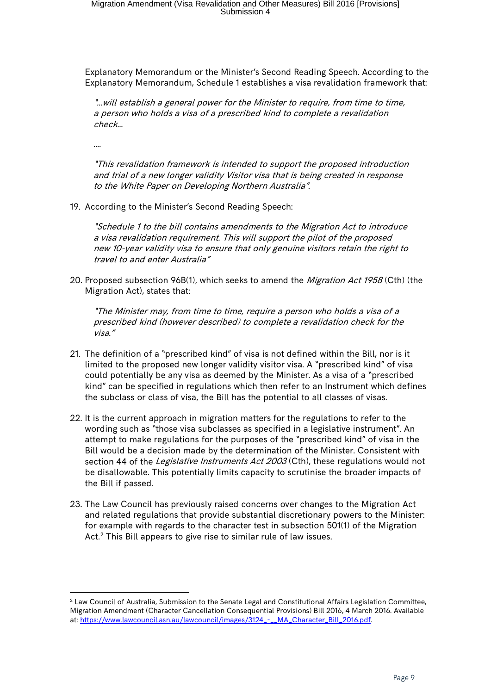Explanatory Memorandum or the Minister's Second Reading Speech. According to the Explanatory Memorandum, Schedule 1 establishes a visa revalidation framework that:

"…will establish a general power for the Minister to require, from time to time, a person who holds a visa of a prescribed kind to complete a revalidation check…

"This revalidation framework is intended to support the proposed introduction and trial of a new longer validity Visitor visa that is being created in response to the White Paper on Developing Northern Australia".

19. According to the Minister's Second Reading Speech:

"Schedule 1 to the bill contains amendments to the Migration Act to introduce a visa revalidation requirement. This will support the pilot of the proposed new 10-year validity visa to ensure that only genuine visitors retain the right to travel to and enter Australia"

20. Proposed subsection 96B(1), which seeks to amend the Migration Act 1958 (Cth) (the Migration Act), states that:

"The Minister may, from time to time, require a person who holds a visa of a prescribed kind (however described) to complete a revalidation check for the visa."

- 21. The definition of a "prescribed kind" of visa is not defined within the Bill, nor is it limited to the proposed new longer validity visitor visa. A "prescribed kind" of visa could potentially be any visa as deemed by the Minister. As a visa of a "prescribed kind" can be specified in regulations which then refer to an Instrument which defines the subclass or class of visa, the Bill has the potential to all classes of visas.
- 22. It is the current approach in migration matters for the regulations to refer to the wording such as "those visa subclasses as specified in a legislative instrument". An attempt to make regulations for the purposes of the "prescribed kind" of visa in the Bill would be a decision made by the determination of the Minister. Consistent with section 44 of the Legislative Instruments Act 2003 (Cth), these regulations would not be disallowable. This potentially limits capacity to scrutinise the broader impacts of the Bill if passed.
- 23. The Law Council has previously raised concerns over changes to the Migration Act and related regulations that provide substantial discretionary powers to the Minister: for example with regards to the character test in subsection 501(1) of the Migration Act. $2$  This Bill appears to give rise to similar rule of law issues.

<span id="page-8-0"></span> $2$  Law Council of Australia, Submission to the Senate Legal and Constitutional Affairs Legislation Committee, Migration Amendment (Character Cancellation Consequential Provisions) Bill 2016, 4 March 2016. Available at: [https://www.lawcouncil.asn.au/lawcouncil/images/3124\\_-\\_\\_MA\\_Character\\_Bill\\_2016.pdf.](https://www.lawcouncil.asn.au/lawcouncil/images/3124_-__MA_Character_Bill_2016.pdf)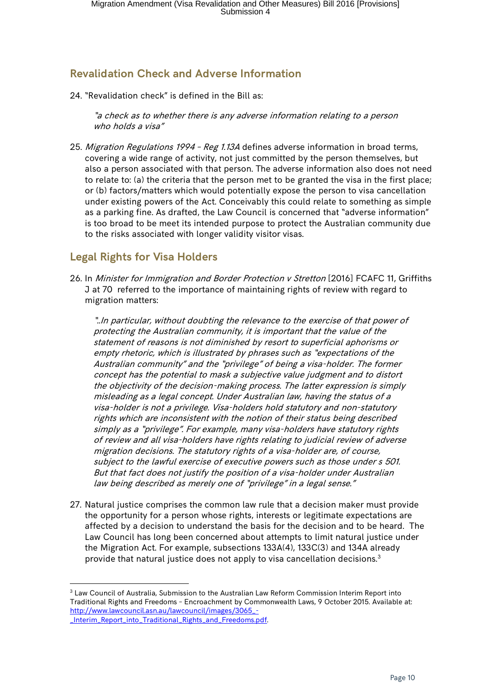#### <span id="page-9-0"></span>**Revalidation Check and Adverse Information**

24. "Revalidation check" is defined in the Bill as:

"a check as to whether there is any adverse information relating to a person who holds a visa"

25. Migration Regulations 1994 - Reg 1.13A defines adverse information in broad terms, covering a wide range of activity, not just committed by the person themselves, but also a person associated with that person. The adverse information also does not need to relate to: (a) the criteria that the person met to be granted the visa in the first place; or (b) factors/matters which would potentially expose the person to visa cancellation under existing powers of the Act. Conceivably this could relate to something as simple as a parking fine. As drafted, the Law Council is concerned that "adverse information" is too broad to be meet its intended purpose to protect the Australian community due to the risks associated with longer validity visitor visas.

#### <span id="page-9-1"></span>**Legal Rights for Visa Holders**

26. In Minister for Immigration and Border Protection v Stretton [2016] FCAFC 11, Griffiths J at 70 referred to the importance of maintaining rights of review with regard to migration matters:

"..In particular, without doubting the relevance to the exercise of that power of protecting the Australian community, it is important that the value of the statement of reasons is not diminished by resort to superficial aphorisms or empty rhetoric, which is illustrated by phrases such as "expectations of the Australian community" and the "privilege" of being a visa-holder. The former concept has the potential to mask a subjective value judgment and to distort the objectivity of the decision-making process. The latter expression is simply misleading as a legal concept. Under Australian law, having the status of a visa-holder is not a privilege. Visa-holders hold statutory and non-statutory rights which are inconsistent with the notion of their status being described simply as a "privilege". For example, many visa-holders have statutory rights of review and all visa-holders have rights relating to judicial review of adverse migration decisions. The statutory rights of a visa-holder are, of course, subject to the lawful exercise of executive powers such as those under s 501. But that fact does not justify the position of a visa-holder under Australian law being described as merely one of "privilege" in a legal sense."

27. Natural justice comprises the common law rule that a decision maker must provide the opportunity for a person whose rights, interests or legitimate expectations are affected by a decision to understand the basis for the decision and to be heard. The Law Council has long been concerned about attempts to limit natural justice under the Migration Act. For example, subsections 133A(4), 133C(3) and 134A already provide that natural justice does not apply to visa cancellation decisions.[3](#page-9-2)

<span id="page-9-2"></span><sup>&</sup>lt;sup>3</sup> Law Council of Australia, Submission to the Australian Law Reform Commission Interim Report into Traditional Rights and Freedoms – Encroachment by Commonwealth Laws, 9 October 2015. Available at: [http://www.lawcouncil.asn.au/lawcouncil/images/3065\\_-](http://www.lawcouncil.asn.au/lawcouncil/images/3065_-_Interim_Report_into_Traditional_Rights_and_Freedoms.pdf) [\\_Interim\\_Report\\_into\\_Traditional\\_Rights\\_and\\_Freedoms.pdf.](http://www.lawcouncil.asn.au/lawcouncil/images/3065_-_Interim_Report_into_Traditional_Rights_and_Freedoms.pdf)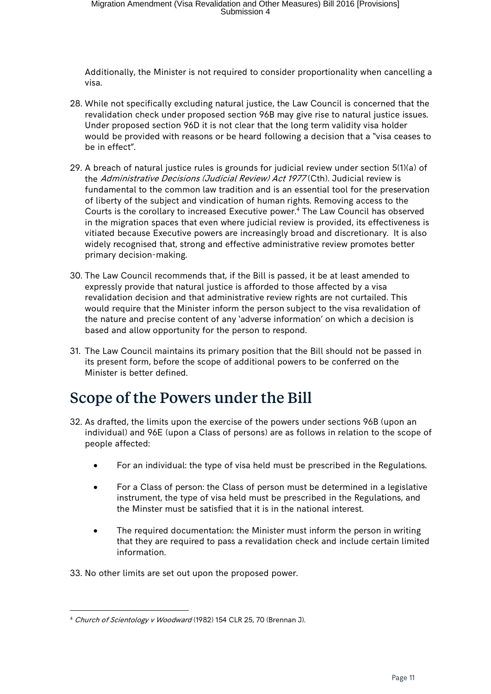Additionally, the Minister is not required to consider proportionality when cancelling a visa.

- 28. While not specifically excluding natural justice, the Law Council is concerned that the revalidation check under proposed section 96B may give rise to natural justice issues. Under proposed section 96D it is not clear that the long term validity visa holder would be provided with reasons or be heard following a decision that a "visa ceases to be in effect".
- 29. A breach of natural justice rules is grounds for judicial review under section 5(1)(a) of the Administrative Decisions (Judicial Review) Act 1977 (Cth). Judicial review is fundamental to the common law tradition and is an essential tool for the preservation of liberty of the subject and vindication of human rights. Removing access to the Courts is the corollary to increased Executive power.[4](#page-10-1) The Law Council has observed in the migration spaces that even where judicial review is provided, its effectiveness is vitiated because Executive powers are increasingly broad and discretionary. It is also widely recognised that, strong and effective administrative review promotes better primary decision-making.
- 30. The Law Council recommends that, if the Bill is passed, it be at least amended to expressly provide that natural justice is afforded to those affected by a visa revalidation decision and that administrative review rights are not curtailed. This would require that the Minister inform the person subject to the visa revalidation of the nature and precise content of any 'adverse information' on which a decision is based and allow opportunity for the person to respond.
- 31. The Law Council maintains its primary position that the Bill should not be passed in its present form, before the scope of additional powers to be conferred on the Minister is better defined.

### <span id="page-10-0"></span>Scope of the Powers under the Bill

- 32. As drafted, the limits upon the exercise of the powers under sections 96B (upon an individual) and 96E (upon a Class of persons) are as follows in relation to the scope of people affected:
	- For an individual: the type of visa held must be prescribed in the Regulations.
	- For a Class of person: the Class of person must be determined in a legislative instrument, the type of visa held must be prescribed in the Regulations, and the Minster must be satisfied that it is in the national interest.
	- The required documentation: the Minister must inform the person in writing that they are required to pass a revalidation check and include certain limited information.
- 33. No other limits are set out upon the proposed power.

<span id="page-10-1"></span> <sup>4</sup> Church of Scientology v Woodward (1982) 154 CLR 25, 70 (Brennan J).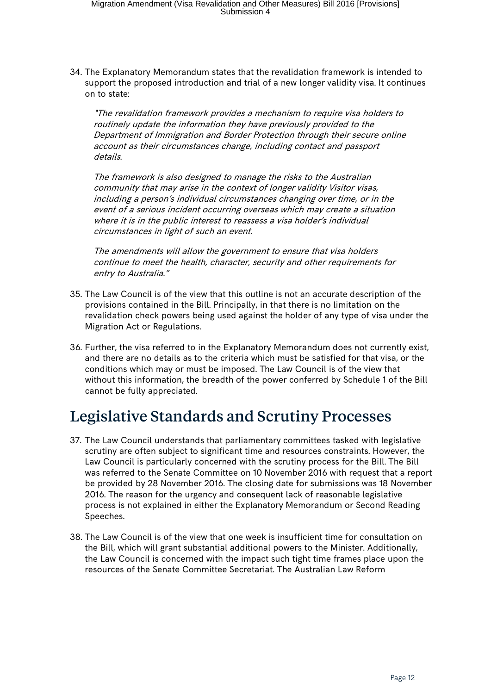34. The Explanatory Memorandum states that the revalidation framework is intended to support the proposed introduction and trial of a new longer validity visa. It continues on to state:

"The revalidation framework provides a mechanism to require visa holders to routinely update the information they have previously provided to the Department of Immigration and Border Protection through their secure online account as their circumstances change, including contact and passport details.

The framework is also designed to manage the risks to the Australian community that may arise in the context of longer validity Visitor visas, including a person's individual circumstances changing over time, or in the event of a serious incident occurring overseas which may create a situation where it is in the public interest to reassess a visa holder's individual circumstances in light of such an event.

The amendments will allow the government to ensure that visa holders continue to meet the health, character, security and other requirements for entry to Australia."

- 35. The Law Council is of the view that this outline is not an accurate description of the provisions contained in the Bill. Principally, in that there is no limitation on the revalidation check powers being used against the holder of any type of visa under the Migration Act or Regulations.
- 36. Further, the visa referred to in the Explanatory Memorandum does not currently exist, and there are no details as to the criteria which must be satisfied for that visa, or the conditions which may or must be imposed. The Law Council is of the view that without this information, the breadth of the power conferred by Schedule 1 of the Bill cannot be fully appreciated.

### <span id="page-11-0"></span>Legislative Standards and Scrutiny Processes

- 37. The Law Council understands that parliamentary committees tasked with legislative scrutiny are often subject to significant time and resources constraints. However, the Law Council is particularly concerned with the scrutiny process for the Bill. The Bill was referred to the Senate Committee on 10 November 2016 with request that a report be provided by 28 November 2016. The closing date for submissions was 18 November 2016. The reason for the urgency and consequent lack of reasonable legislative process is not explained in either the Explanatory Memorandum or Second Reading Speeches.
- 38. The Law Council is of the view that one week is insufficient time for consultation on the Bill, which will grant substantial additional powers to the Minister. Additionally, the Law Council is concerned with the impact such tight time frames place upon the resources of the Senate Committee Secretariat. The Australian Law Reform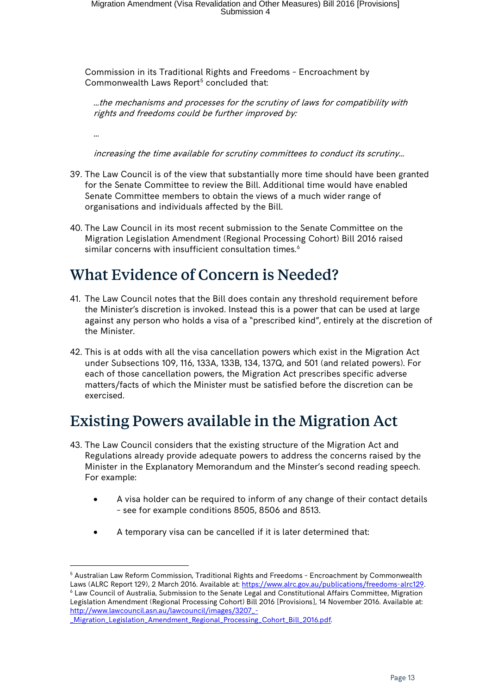Commission in its Traditional Rights and Freedoms – Encroachment by Commonwealth Laws Report<sup>[5](#page-12-2)</sup> concluded that:

…the mechanisms and processes for the scrutiny of laws for compatibility with rights and freedoms could be further improved by:

…

increasing the time available for scrutiny committees to conduct its scrutiny…

- 39. The Law Council is of the view that substantially more time should have been granted for the Senate Committee to review the Bill. Additional time would have enabled Senate Committee members to obtain the views of a much wider range of organisations and individuals affected by the Bill.
- 40. The Law Council in its most recent submission to the Senate Committee on the Migration Legislation Amendment (Regional Processing Cohort) Bill 2016 raised similar concerns with insufficient consultation times.<sup>[6](#page-12-3)</sup>

# <span id="page-12-0"></span>What Evidence of Concern is Needed?

- 41. The Law Council notes that the Bill does contain any threshold requirement before the Minister's discretion is invoked. Instead this is a power that can be used at large against any person who holds a visa of a "prescribed kind", entirely at the discretion of the Minister.
- 42. This is at odds with all the visa cancellation powers which exist in the Migration Act under Subsections 109, 116, 133A, 133B, 134, 137Q, and 501 (and related powers). For each of those cancellation powers, the Migration Act prescribes specific adverse matters/facts of which the Minister must be satisfied before the discretion can be exercised.

### <span id="page-12-1"></span>Existing Powers available in the Migration Act

- 43. The Law Council considers that the existing structure of the Migration Act and Regulations already provide adequate powers to address the concerns raised by the Minister in the Explanatory Memorandum and the Minster's second reading speech. For example:
	- A visa holder can be required to inform of any change of their contact details – see for example conditions 8505, 8506 and 8513.
	- A temporary visa can be cancelled if it is later determined that:

<span id="page-12-3"></span><sup>6</sup> Law Council of Australia, Submission to the Senate Legal and Constitutional Affairs Committee, Migration Legislation Amendment (Regional Processing Cohort) Bill 2016 [Provisions], 14 November 2016. Available at: [http://www.lawcouncil.asn.au/lawcouncil/images/3207\\_-](http://www.lawcouncil.asn.au/lawcouncil/images/3207_-_Migration_Legislation_Amendment_Regional_Processing_Cohort_Bill_2016.pdf)

<span id="page-12-2"></span> <sup>5</sup> Australian Law Reform Commission, Traditional Rights and Freedoms – Encroachment by Commonwealth Laws (ALRC Report 129), 2 March 2016. Available at: [https://www.alrc.gov.au/publications/freedoms-alrc129.](https://www.alrc.gov.au/publications/freedoms-alrc129)

[\\_Migration\\_Legislation\\_Amendment\\_Regional\\_Processing\\_Cohort\\_Bill\\_2016.pdf.](http://www.lawcouncil.asn.au/lawcouncil/images/3207_-_Migration_Legislation_Amendment_Regional_Processing_Cohort_Bill_2016.pdf)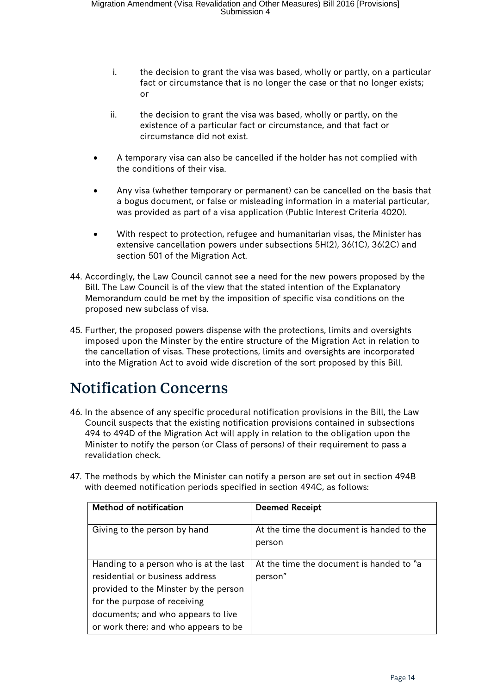- i. the decision to grant the visa was based, wholly or partly, on a particular fact or circumstance that is no longer the case or that no longer exists; or
- ii. the decision to grant the visa was based, wholly or partly, on the existence of a particular fact or circumstance, and that fact or circumstance did not exist.
- A temporary visa can also be cancelled if the holder has not complied with the conditions of their visa.
- Any visa (whether temporary or permanent) can be cancelled on the basis that a bogus document, or false or misleading information in a material particular, was provided as part of a visa application (Public Interest Criteria 4020).
- With respect to protection, refugee and humanitarian visas, the Minister has extensive cancellation powers under subsections 5H(2), 36(1C), 36(2C) and section 501 of the Migration Act.
- 44. Accordingly, the Law Council cannot see a need for the new powers proposed by the Bill. The Law Council is of the view that the stated intention of the Explanatory Memorandum could be met by the imposition of specific visa conditions on the proposed new subclass of visa.
- 45. Further, the proposed powers dispense with the protections, limits and oversights imposed upon the Minster by the entire structure of the Migration Act in relation to the cancellation of visas. These protections, limits and oversights are incorporated into the Migration Act to avoid wide discretion of the sort proposed by this Bill.

# <span id="page-13-0"></span>Notification Concerns

- 46. In the absence of any specific procedural notification provisions in the Bill, the Law Council suspects that the existing notification provisions contained in subsections 494 to 494D of the Migration Act will apply in relation to the obligation upon the Minister to notify the person (or Class of persons) of their requirement to pass a revalidation check.
- 47. The methods by which the Minister can notify a person are set out in section 494B with deemed notification periods specified in section 494C, as follows:

| <b>Method of notification</b>          | <b>Deemed Receipt</b>                     |
|----------------------------------------|-------------------------------------------|
|                                        |                                           |
| Giving to the person by hand           | At the time the document is handed to the |
|                                        | person                                    |
|                                        |                                           |
| Handing to a person who is at the last | At the time the document is handed to "a  |
| residential or business address        | person"                                   |
| provided to the Minster by the person  |                                           |
| for the purpose of receiving           |                                           |
| documents; and who appears to live     |                                           |
| or work there; and who appears to be   |                                           |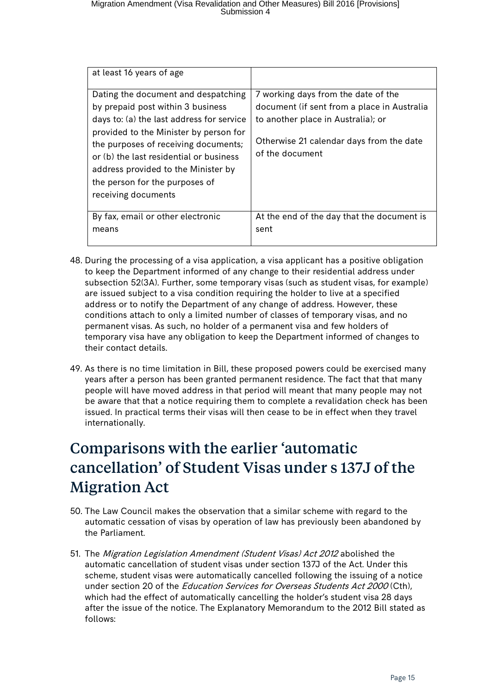| at least 16 years of age                                                                                                                                                                                                                                                                                                                           |                                                                                                                                                                                         |
|----------------------------------------------------------------------------------------------------------------------------------------------------------------------------------------------------------------------------------------------------------------------------------------------------------------------------------------------------|-----------------------------------------------------------------------------------------------------------------------------------------------------------------------------------------|
| Dating the document and despatching<br>by prepaid post within 3 business<br>days to: (a) the last address for service<br>provided to the Minister by person for<br>the purposes of receiving documents;<br>or (b) the last residential or business<br>address provided to the Minister by<br>the person for the purposes of<br>receiving documents | 7 working days from the date of the<br>document (if sent from a place in Australia<br>to another place in Australia); or<br>Otherwise 21 calendar days from the date<br>of the document |
| By fax, email or other electronic<br>means                                                                                                                                                                                                                                                                                                         | At the end of the day that the document is<br>sent                                                                                                                                      |

- 48. During the processing of a visa application, a visa applicant has a positive obligation to keep the Department informed of any change to their residential address under subsection 52(3A). Further, some temporary visas (such as student visas, for example) are issued subject to a visa condition requiring the holder to live at a specified address or to notify the Department of any change of address. However, these conditions attach to only a limited number of classes of temporary visas, and no permanent visas. As such, no holder of a permanent visa and few holders of temporary visa have any obligation to keep the Department informed of changes to their contact details.
- 49. As there is no time limitation in Bill, these proposed powers could be exercised many years after a person has been granted permanent residence. The fact that that many people will have moved address in that period will meant that many people may not be aware that that a notice requiring them to complete a revalidation check has been issued. In practical terms their visas will then cease to be in effect when they travel internationally.

# <span id="page-14-0"></span>Comparisons with the earlier 'automatic cancellation' of Student Visas under s 137J of the Migration Act

- 50. The Law Council makes the observation that a similar scheme with regard to the automatic cessation of visas by operation of law has previously been abandoned by the Parliament.
- 51. The Migration Legislation Amendment (Student Visas) Act 2012 abolished the automatic cancellation of student visas under section 137J of the Act. Under this scheme, student visas were automatically cancelled following the issuing of a notice under section 20 of the Education Services for Overseas Students Act 2000 (Cth), which had the effect of automatically cancelling the holder's student visa 28 days after the issue of the notice. The Explanatory Memorandum to the 2012 Bill stated as follows: